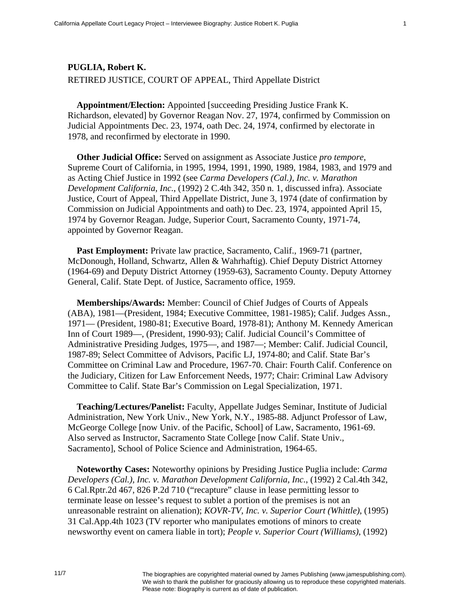## **PUGLIA, Robert K.**  RETIRED JUSTICE, COURT OF APPEAL, Third Appellate District

**Appointment/Election:** Appointed [succeeding Presiding Justice Frank K. Richardson, elevated] by Governor Reagan Nov. 27, 1974, confirmed by Commission on Judicial Appointments Dec. 23, 1974, oath Dec. 24, 1974, confirmed by electorate in 1978, and reconfirmed by electorate in 1990.

**Other Judicial Office:** Served on assignment as Associate Justice *pro tempore*, Supreme Court of California, in 1995, 1994, 1991, 1990, 1989, 1984, 1983, and 1979 and as Acting Chief Justice in 1992 (see *Carma Developers (Cal.), Inc. v. Marathon Development California, Inc.*, (1992) 2 C.4th 342, 350 n. 1, discussed infra). Associate Justice, Court of Appeal, Third Appellate District, June 3, 1974 (date of confirmation by Commission on Judicial Appointments and oath) to Dec. 23, 1974, appointed April 15, 1974 by Governor Reagan. Judge, Superior Court, Sacramento County, 1971-74, appointed by Governor Reagan.

**Past Employment:** Private law practice, Sacramento, Calif., 1969-71 (partner, McDonough, Holland, Schwartz, Allen & Wahrhaftig). Chief Deputy District Attorney (1964-69) and Deputy District Attorney (1959-63), Sacramento County. Deputy Attorney General, Calif. State Dept. of Justice, Sacramento office, 1959.

**Memberships/Awards:** Member: Council of Chief Judges of Courts of Appeals (ABA), 1981—(President, 1984; Executive Committee, 1981-1985); Calif. Judges Assn., 1971— (President, 1980-81; Executive Board, 1978-81); Anthony M. Kennedy American Inn of Court 1989—, (President, 1990-93); Calif. Judicial Council's Committee of Administrative Presiding Judges, 1975—, and 1987—; Member: Calif. Judicial Council, 1987-89; Select Committee of Advisors, Pacific LJ, 1974-80; and Calif. State Bar's Committee on Criminal Law and Procedure, 1967-70. Chair: Fourth Calif. Conference on the Judiciary, Citizen for Law Enforcement Needs, 1977; Chair: Criminal Law Advisory Committee to Calif. State Bar's Commission on Legal Specialization, 1971.

**Teaching/Lectures/Panelist:** Faculty, Appellate Judges Seminar, Institute of Judicial Administration, New York Univ., New York, N.Y., 1985-88. Adjunct Professor of Law, McGeorge College [now Univ. of the Pacific, School] of Law, Sacramento, 1961-69. Also served as Instructor, Sacramento State College [now Calif. State Univ., Sacramento], School of Police Science and Administration, 1964-65.

**Noteworthy Cases:** Noteworthy opinions by Presiding Justice Puglia include: *Carma Developers (Cal.), Inc. v. Marathon Development California, Inc.*, (1992) 2 Cal.4th 342, 6 Cal.Rptr.2d 467, 826 P.2d 710 ("recapture" clause in lease permitting lessor to terminate lease on lessee's request to sublet a portion of the premises is not an unreasonable restraint on alienation); *KOVR-TV, Inc. v. Superior Court (Whittle)*, (1995) 31 Cal.App.4th 1023 (TV reporter who manipulates emotions of minors to create newsworthy event on camera liable in tort); *People v. Superior Court (Williams)*, (1992)